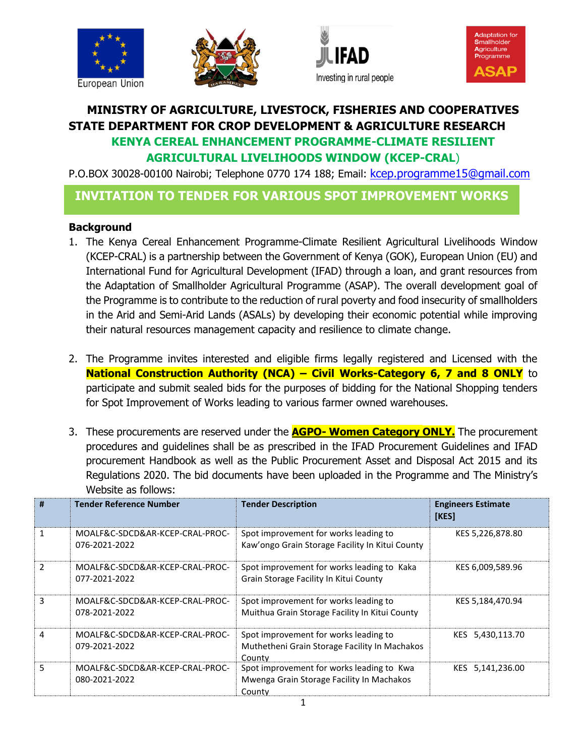







## **MINISTRY OF AGRICULTURE, LIVESTOCK, FISHERIES AND COOPERATIVES STATE DEPARTMENT FOR CROP DEVELOPMENT & AGRICULTURE RESEARCH KENYA CEREAL ENHANCEMENT PROGRAMME-CLIMATE RESILIENT AGRICULTURAL LIVELIHOODS WINDOW (KCEP-CRAL**)

P.O.BOX 30028-00100 Nairobi; Telephone 0770 174 188; Email: [kcep.programme15@gmail.com](mailto:kcep.programme15@gmail.com)

## **INVITATION TO TENDER FOR VARIOUS SPOT IMPROVEMENT WORKS**

## **Background**

- 1. The Kenya Cereal Enhancement Programme-Climate Resilient Agricultural Livelihoods Window (KCEP-CRAL) is a partnership between the Government of Kenya (GOK), European Union (EU) and International Fund for Agricultural Development (IFAD) through a loan, and grant resources from the Adaptation of Smallholder Agricultural Programme (ASAP). The overall development goal of the Programme is to contribute to the reduction of rural poverty and food insecurity of smallholders in the Arid and Semi-Arid Lands (ASALs) by developing their economic potential while improving their natural resources management capacity and resilience to climate change.
- 2. The Programme invites interested and eligible firms legally registered and Licensed with the **National Construction Authority (NCA) – Civil Works-Category 6, 7 and 8 ONLY** to participate and submit sealed bids for the purposes of bidding for the National Shopping tenders for Spot Improvement of Works leading to various farmer owned warehouses.
- 3. These procurements are reserved under the **AGPO- Women Category ONLY.** The procurement procedures and guidelines shall be as prescribed in the IFAD Procurement Guidelines and IFAD procurement Handbook as well as the Public Procurement Asset and Disposal Act 2015 and its Regulations 2020. The bid documents have been uploaded in the Programme and The Ministry's Website as follows:

| #             | <b>Tender Reference Number</b>                   | <b>Tender Description</b>                                                                        | <b>Engineers Estimate</b><br><b>[KES]</b> |
|---------------|--------------------------------------------------|--------------------------------------------------------------------------------------------------|-------------------------------------------|
| 1             | MOALF&C-SDCD&AR-KCEP-CRAL-PROC-<br>076-2021-2022 | Spot improvement for works leading to<br>Kaw'ongo Grain Storage Facility In Kitui County         | KES 5,226,878.80                          |
| $\mathfrak z$ | MOALF&C-SDCD&AR-KCEP-CRAL-PROC-<br>077-2021-2022 | Spot improvement for works leading to Kaka<br>Grain Storage Facility In Kitui County             | KES 6,009,589.96                          |
| 3             | MOALF&C-SDCD&AR-KCEP-CRAL-PROC-<br>078-2021-2022 | Spot improvement for works leading to<br>Muithua Grain Storage Facility In Kitui County          | KES 5,184,470.94                          |
| 4             | MOALF&C-SDCD&AR-KCEP-CRAL-PROC-<br>079-2021-2022 | Spot improvement for works leading to<br>Muthetheni Grain Storage Facility In Machakos<br>County | KES 5,430,113.70                          |
| 5             | MOALF&C-SDCD&AR-KCEP-CRAL-PROC-<br>080-2021-2022 | Spot improvement for works leading to Kwa<br>Mwenga Grain Storage Facility In Machakos<br>County | KES 5,141,236.00                          |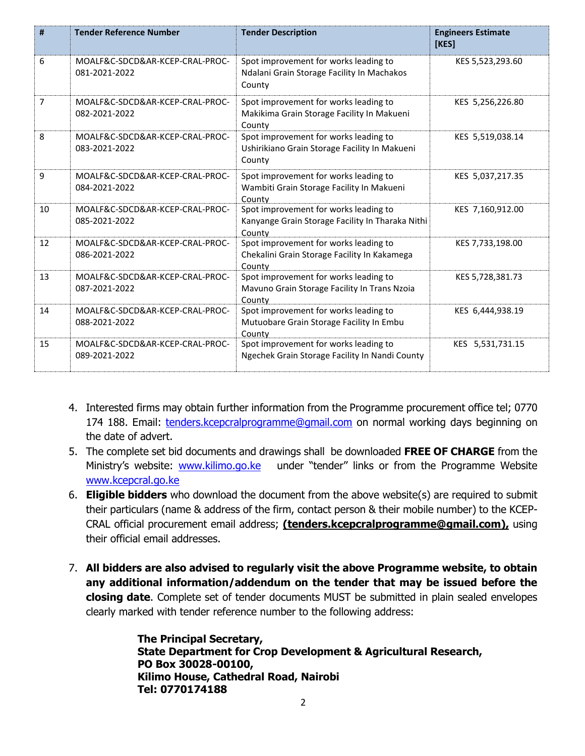| #              | <b>Tender Reference Number</b>                   | <b>Tender Description</b>                                                                           | <b>Engineers Estimate</b><br>[KES] |
|----------------|--------------------------------------------------|-----------------------------------------------------------------------------------------------------|------------------------------------|
| 6              | MOALF&C-SDCD&AR-KCEP-CRAL-PROC-<br>081-2021-2022 | Spot improvement for works leading to<br>Ndalani Grain Storage Facility In Machakos<br>County       | KES 5,523,293.60                   |
| $\overline{7}$ | MOALF&C-SDCD&AR-KCEP-CRAL-PROC-<br>082-2021-2022 | Spot improvement for works leading to<br>Makikima Grain Storage Facility In Makueni<br>County       | KES 5,256,226.80                   |
| 8              | MOALF&C-SDCD&AR-KCEP-CRAL-PROC-<br>083-2021-2022 | Spot improvement for works leading to<br>Ushirikiano Grain Storage Facility In Makueni<br>County    | KES 5,519,038.14                   |
| 9              | MOALF&C-SDCD&AR-KCEP-CRAL-PROC-<br>084-2021-2022 | Spot improvement for works leading to<br>Wambiti Grain Storage Facility In Makueni<br>County        | KES 5,037,217.35                   |
| 10             | MOALF&C-SDCD&AR-KCEP-CRAL-PROC-<br>085-2021-2022 | Spot improvement for works leading to<br>Kanyange Grain Storage Facility In Tharaka Nithi<br>County | KES 7,160,912.00                   |
| 12             | MOALF&C-SDCD&AR-KCEP-CRAL-PROC-<br>086-2021-2022 | Spot improvement for works leading to<br>Chekalini Grain Storage Facility In Kakamega<br>County     | KES 7,733,198.00                   |
| 13             | MOALF&C-SDCD&AR-KCEP-CRAL-PROC-<br>087-2021-2022 | Spot improvement for works leading to<br>Mavuno Grain Storage Facility In Trans Nzoia<br>County     | KES 5,728,381.73                   |
| 14             | MOALF&C-SDCD&AR-KCEP-CRAL-PROC-<br>088-2021-2022 | Spot improvement for works leading to<br>Mutuobare Grain Storage Facility In Embu<br>County         | KES 6,444,938.19                   |
| 15             | MOALF&C-SDCD&AR-KCEP-CRAL-PROC-<br>089-2021-2022 | Spot improvement for works leading to<br>Ngechek Grain Storage Facility In Nandi County             | KES 5,531,731.15                   |

- 4. Interested firms may obtain further information from the Programme procurement office tel; 0770 174 188. Email: [tenders.kcepcralprogramme@gmail.com](mailto:tenders.kcepcralprogramme@gmail.com) on normal working days beginning on the date of advert.
- 5. The complete set bid documents and drawings shall be downloaded **FREE OF CHARGE** from the Ministry's website: [www.kilimo.go.ke](http://www.kilimo.go.ke/) under "tender" links or from the Programme Website [www.kcepcral.go.ke](http://www.kcepcral.go.ke/)
- 6. **Eligible bidders** who download the document from the above website(s) are required to submit their particulars (name & address of the firm, contact person & their mobile number) to the KCEP-CRAL official procurement email address; **[\(tenders.kcepcralprogramme@gmail.com\)](mailto:tenders.kcepcralprogramme@gmail.com),** using their official email addresses.
- 7. **All bidders are also advised to regularly visit the above Programme website, to obtain any additional information/addendum on the tender that may be issued before the closing date**. Complete set of tender documents MUST be submitted in plain sealed envelopes clearly marked with tender reference number to the following address:

**The Principal Secretary, State Department for Crop Development & Agricultural Research, PO Box 30028-00100, Kilimo House, Cathedral Road, Nairobi Tel: 0770174188**